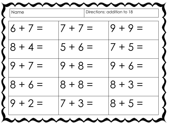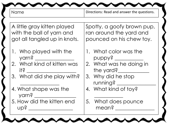Name  $\vert$  Directions: Read and answer the questions.

A little gray kitten played with the ball of yarn and got all tangled up in knots.

- 1. Who played with the yarn? \_\_\_\_\_\_\_\_\_\_\_\_\_\_\_
- 2. What kind of kitten was it?  $\Box$
- 3. What did she play with?
- \_\_\_\_\_\_\_\_\_\_\_\_\_\_\_ 4. What shape was the yarn? \_\_\_\_\_\_\_\_\_\_\_\_\_\_\_\_
- 5. How did the kitten end  $\bigcap \dot S$

Spotty, a goofy brown pup, ran around the yard and pounced on his chew toy.

- 1. What color was the puppy? \_\_\_\_\_\_\_\_\_\_\_
- 2. What was he doing in the yard?\_\_\_\_\_\_\_\_\_\_\_\_
- 3. Why did he stop running? \_\_\_\_\_\_\_\_\_\_\_\_\_\_\_
- 4. What kind of toy?

 $\overline{\phantom{a}}$  , where  $\overline{\phantom{a}}$ 

5. What does pounce mean? \_\_\_\_\_\_\_\_\_\_\_\_\_\_\_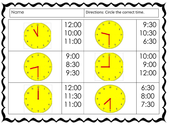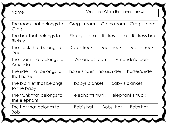|  | nnnnnnnnnn |  |  |  |  |  |  |  |  |  |  |  |  |  |
|--|------------|--|--|--|--|--|--|--|--|--|--|--|--|--|
|--|------------|--|--|--|--|--|--|--|--|--|--|--|--|--|

|  | Name |  |
|--|------|--|
|--|------|--|

Directions: Circle the correct answer

| The room that belongs to                  | Greg's room                                     |
|-------------------------------------------|-------------------------------------------------|
| Greg                                      | Gregs' room<br>Gregs room                       |
| The box that belongs to<br>Rickey         | Rickey's box<br>Rickeys box<br>Rickeys's box    |
| The truck that belongs to<br>Dad          | Dad's truck<br>Dads truck<br>Dads's truck       |
| The team that belongs to<br>Amanda        | Amanda's team<br>Amandas team                   |
| The rider that belongs to<br>that horse   | horses's rider<br>horse's rider<br>horses rider |
| The blanket that belongs<br>to the baby   | baby's blanket<br>babys blanket                 |
| The trunk that belongs to<br>the elephant | elephant's truck<br>elephants trunk             |
| The hat that belongs to<br><b>Bob</b>     | Bob's hat<br>Bobs' hat<br>Bobs hat              |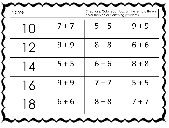| Name                     |         | color then color matching problems. | Directions: Color each box on the left a different |
|--------------------------|---------|-------------------------------------|----------------------------------------------------|
| $\mathsf{I}(\mathsf{I})$ | $7 + 7$ | $5 + 5$                             | $9 + 9$                                            |
| 12                       | $9 + 9$ | $8 + 8$                             | $6 + 6$                                            |
| 14                       | $5 + 5$ | $6 + 6$                             | $8 + 8$                                            |
| 16                       | $9 + 9$ | $7 + 7$                             | $5 + 5$                                            |
|                          |         | $18$   6+6   8+8   7+7              |                                                    |
|                          |         |                                     |                                                    |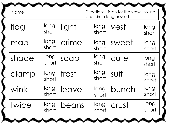| Name  |               |       | and circle long or short. | Directions: Listen for the vowel sound |               |
|-------|---------------|-------|---------------------------|----------------------------------------|---------------|
| flag  | long<br>short | light | long<br>short             | vest                                   | long<br>short |
| map   | long<br>short | crime | long<br>short             | sweet                                  | long<br>short |
| shade | long<br>short | soap  | long<br>short             | cute                                   | long<br>short |
| clamp | long<br>short | frost | long<br>short             | suit                                   | long<br>short |
| wink  | long<br>short | leave | long<br>short             | bunch                                  | long<br>short |
| twice | long<br>short | beans | long<br>short             | crust                                  | long<br>short |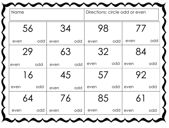| Name |     |      |     |      | Directions: circle odd or even |      |     |
|------|-----|------|-----|------|--------------------------------|------|-----|
| 56   |     | 34   |     |      | 98                             |      |     |
| even | odd | even | odd | even | odd                            | even | odd |
| 29   |     | 63   |     | 32   |                                |      | 84  |
| even | odd | even | odd | even | odd                            | even | odd |
| 16   |     | 45   |     | 5/   |                                |      | 92  |
| even | odd | even | odd | even | odd                            | even | odd |
| 64   |     |      |     |      | $\sigma$                       |      |     |
| even | odd | even | odd | even | odd                            | even | odd |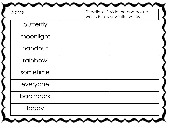| Name      | Directions: Divide the compound<br>words into two smaller words. |  |  |
|-----------|------------------------------------------------------------------|--|--|
| butterfly |                                                                  |  |  |
| moonlight |                                                                  |  |  |
| handout   |                                                                  |  |  |
| rainbow   |                                                                  |  |  |
| sometime  |                                                                  |  |  |
| everyone  |                                                                  |  |  |
| backpack  |                                                                  |  |  |
| today     |                                                                  |  |  |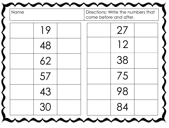| Name | Directions: Write the numbers that<br>come before and after. |
|------|--------------------------------------------------------------|
| 19   | 27                                                           |
| 48   | 12                                                           |
| 62   | 38                                                           |
| 57   | 75                                                           |
|      |                                                              |
| 30   | 84                                                           |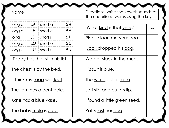| Name                                 |                      |                                                                                       |                                           | Directions: Write the vowels sounds of<br>the underlined words using the key.                                     |
|--------------------------------------|----------------------|---------------------------------------------------------------------------------------|-------------------------------------------|-------------------------------------------------------------------------------------------------------------------|
| long a<br>long e<br>long i<br>long o | LA<br>LE<br>LI<br>LO | short a<br>short e<br>short i<br>short o                                              | <b>SA</b><br><b>SE</b><br>SI<br><b>SO</b> | LI<br>What kind is that vine?<br>Please <u>loan</u> me your <u>boat</u> .<br><u>Jack</u> dropped his <u>bag</u> . |
| long u                               | LU                   | short u<br>Teddy has the <u>list</u> in his <u>fist</u> .<br>The chest is by the bed. | <b>SU</b>                                 | We got stuck in the mud.<br>His <u>suit</u> is blue.                                                              |
|                                      |                      | I think my <u>soap</u> will <u>float</u> .<br>The <u>tent</u> has a <u>bent</u> pole. |                                           | The <u>white</u> belt is <u>mine</u> .<br>Jeff <u>slid</u> and cut his <u>lip.</u>                                |
|                                      |                      | Kate has a blue vase.<br>The baby <u>mule</u> is <u>cute</u> .                        |                                           | I found a little green seed.<br>Patty <u>lost</u> her <u>dog</u> .                                                |

∕″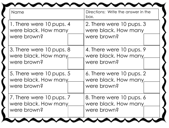| Name                     | Directions: Write the answer in the<br>box. |
|--------------------------|---------------------------------------------|
| 1. There were 10 pups. 4 | 2. There were 10 pups. 3                    |
| were black. How many     | were black. How many                        |
| were brown?              | were brown?                                 |
| 3. There were 10 pups. 8 | 4. There were 10 pups. 9                    |
| were black. How many     | were black. How many                        |
| were brown?              | were brown?                                 |
| 5. There were 10 pups. 5 | 6. There were 10 pups. 2                    |
| were black. How many     | were black. How many.                       |
| were brown?              | were brown?                                 |
| 7. There were 10 pups. 7 | 8. There were 10 pups. 6                    |
| were black. How many     | were black. How many                        |
| were brown?              | were brown?                                 |